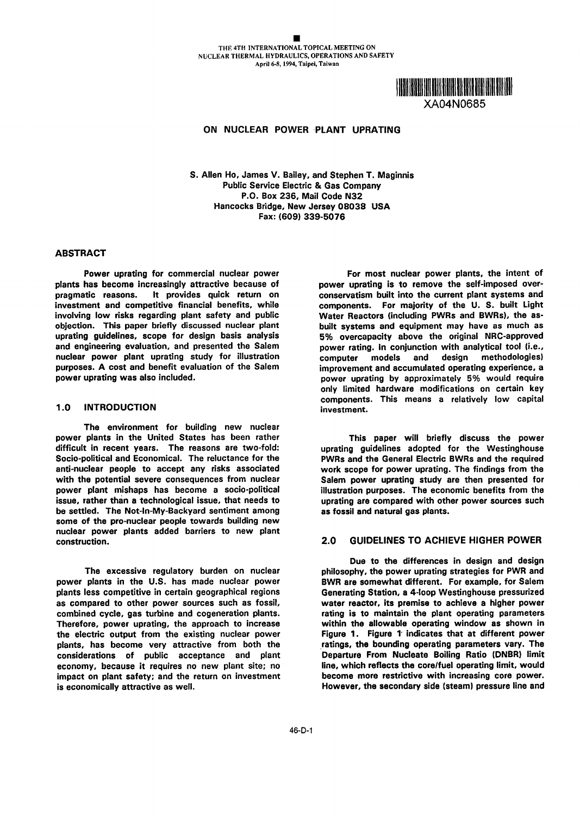

# ON NUCLEAR POWER PLANT UPRATING

S. Allen Ho, James V. Bailey, and Stephen T. Maginnis Public Service Electric & Gas Company P.O. Box 236, Mail Code N32 Hancocks Bridge, New Jersey 08038 USA Fax: 609) 339-5076

### ABSTRACT

plants has become increasingly attractive because of pragmatic reasons. It provides quick return on investment and competitive financial benefits, while components. For majority of the U. S. built Light involving low risks regarding plant safety and public Water Reactors (including PWRs and BWRs), the asinvolving low risks regarding plant safety and public objection. This paper briefly discussed nuclear plant built systems and equipment may have as much as uprating guidelines, scope for design basis analysis by overcapacity above the original NRC-approved and engineering evaluation, and presented the Salem power rating. In conjunction with analytical tool (i.e., nuclear power plant uprating study for illustration computer models and design methodologies) purposes. A cost and benefit evaluation of the Salem improvement and accumulated operating experience, a

The environment for building new nuclear power plants in the United States has been rather This paper will briefly discuss the power difficult in recent years. The reasons are two-fold: uprating guidelines adopted for the Westinghouse Socio-political and Economical. The reluctance for the TWRs and the General Electric BWRs and the required<br>Socio-political and Economical. The reluctance for the TWRs and the General Electric BWRs and the required and anti-nuclear people to accept any risks associated work scope for power uprating. The findings from the with the potential severe consequences from nuclear Salem power uprating study are then presented for power plant mishaps has become a socio-political illustration purposes. The economic benefits from the issue, rather than a technological issue, that needs to uprating are compared with other power sources such be settled. The Not-In-My-Backyard sentiment among as fossil and natural gas plants. some of the pro-nuclear people towards building new nuclear power plants added barriers to new plant construction. 2.0 GUIDELINES TO ACHIEVE HIGHER POWER

power plants in the U.S. has made nuclear power BWR are somewhat different. For example, for Salem plants less competitive in certain geographical regions Generating Station, a 4-loop Westinghouse pressurized as compared to other power sources such as fossil, water reactor, its premise to achieve a higher power combined cycle, gas turbine and cogeneration plants. The rating is to maintain the plant operating parameters Therefore, power uprating, the approach to increase within the allowable operating window as shown in the electric output from the existing nuclear power Figure 1. Figure 1 indicates that at different power plants, has become very attractive from both the fatings, the bounding operating parameters vary. The considerations of public acceptance and plant Departure From Nucleate Boiling Ratio (DNBR) limit economy, because it requires no new plant site; no line, which reflects the core/fuel operating limit, would impact on plant safety; and the return on investment become more restrictive with increasing core power. is economically attractive as well. The secondary side (steam) pressure line and

Power uprating for commercial nuclear power<br>has become increasingly attractive because of power uprating is to remove the self-imposed overconservatism built into the current plant systems and 5% overcapacity above the original NRC-approved power uprating was also included. power uprating by approximately 5% would require only limited hardware modifications on certain key components. This means a relatively low capital 1.0 INTRODUCTION investment.

Salem power uprating study are then presented for

Due to the differences in design and design The excessive regulatory burden on nuclear philosophy, the power uprating strategies for PWR and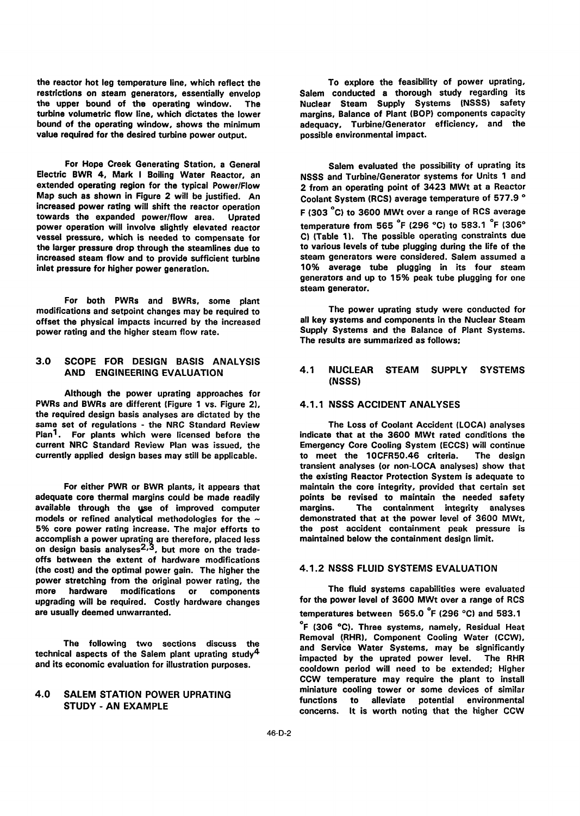restrictions on steam generators, essentially envelop<br>the upper bound of the operating window. The bound of the operating window, shows the minimum adequacy, Turbine/Generator collection value required for the desired turbine power output. value required for the desired turbine power output.

For Hope Creek Generating Station, a General Salem evaluated the possibility of uprating its<br>Electric BWR 4, Mark I Boiling Water Reactor, an NSSS and Turbine/Generator systems for Units 1 and towards the expanded power/flow area. Uprated increased steam flow and to provide sufficient turbine

For both PWRs and BWRs, some plant modifications and setpoint changes may be required to **The power uprating study were conducted for**<br> **The power uprating study were conducted for the increased** all key systems and components in the Nuclear Steam offset the physical impacts incurred by the increased

# 3.0 SCOPE FOR DESIGN BASIS ANALYSIS

Although the power uprating approaches for PWRs and BWRs are different (Figure 1 vs. Figure 2), 4.1.1 NSSS ACCIDENT ANALYSES the required design basis analyses are dictated by the same set of regulations - the NRC Standard Review The Loss of Coolant Accident (LOCA) analyses<br>Plan<sup>1</sup>. For plants which were licensed before the indicate that at the 3600 MWt rated conditions the current NRC Standard Review Plan was issued, the

adequate core thermal margins could be made readily points be revised to maintain the needed safety available through the use of improved computer and margins. The containment integrity analyses<br>models or refined analytical methodologies for the  $\sim$  demonstrated that at the power level of 3600 MWt, models or refined analytical methodologies for the  $\sim$  demonstrated that at the power level of 3600 MWt,<br>5% core power rating increase. The major efforts to the post accident containment peak pressure is 5% core power rating increase. The major efforts to accomplish a power upratinq are therefore, placed less maintained below the containment design limit. on design basis analyses<sup>2,3</sup>, but more on the tradeoffs between the extent of hardware modifications (the cost) and the optimal power gain. The higher the 4.1.2 NSSS FLUID SYSTEMS EVALUATION power stretching from the original power rating, the more hardware modifications or components The fluid systems capabilities were evaluated<br>
ingrading will be required. Costly hardware changes for the power level of 3600 MWt over a range of RCS upgrading will be required. Costly hardware changes

and its economic evaluation for illustration purposes.

the reactor hot leg temperature line, which reflect the To explore the feasibility of power uprating,<br>
restrictions on steam generators, essentially envelop Salem conducted a thorough study regarding its The Nuclear Steam Supply Systems (NSSS) safety turbine volumetric flow line, which dictates the lower margins, Balance of Plant (BOP) components capacity<br>bound of the operating window, shows the minimum adequacy, Turbine/Generator efficiency, and the

Electric BWR 4, Mark I Boiling Water Reactor, an MSSS and Turbine/Generator systems for Units 1 and<br>Extended operating region for the typical Power/Flow 2 from an operating point of 3423 MWt at a Reactor extended operating region for the typical Power/Flow 2 from an operating point of 3423 MWt at a Reactor<br>Map such as shown in Figure 2 will be justified. An coolent System (RCS) average temperature of 577.9 ° Map such as shown in Figure 2 will be justified. An Coolant System (RCS) average temperature of 577.9 °<br>increased power rating will shift the reactor operation and a reach solid appearant the same of DOS sustance F (303 °C) to 3600 MWt over a range of RCS average power operation will involve slightly elevated reactor<br>vessel pressure, which is needed to compensate for C) (Table 1). The possible operating constraints due vessel pressure, which is needed to compensate for C) (Table 1). The possible operating constraints due<br>the larger pressure drop through the steamlines due to strate to various levels of tube plugging during the life of th the larger pressure drop through the steamlines due to the various levels of tube plugging during the life of the<br>increased steam flow and to provide sufficient turbine steam generators were considered. Salem assumed a inlet pressure for higher power generation. 10% average tube plugging in its four steam generators and up to 15% peak tube plugging for one steam generator.

power rating and the higher steam flow rate. Supply Systems and the Balance of Plant Systems. The results are summarized as follows;

### AND ENGINEERING EVALUATION 4.1 NUCLEAR STEAM SUPPLY SYSTEMS (NSSS)

indicate that at the 3600 MWt rated conditions the<br>Emergency Core Cooling System (ECCS) will continue currently applied design bases may still be applicable. to meet the 10CFR50.46 criteria. The design transient analyses (or non-LOCA analyses) show that the existing Reactor Protection System is adequate to For either PWR or BWR plants, it appears that maintain the core integrity, provided that certain set

are usually deemed unwarranted. The sum of temperatures between  $565.0$  °F (296 °C) and 583.1 <sup>o</sup>F (306 °C). Three systems, namely, Residual Heat The following two sections discuss the Removal (RHR), Component Cooling Water (CCW), technical aspects of the Salem plant uprating study<sup>4</sup> and Service Water Systems, may be significantly impacted by the uprated power level. The RHR cooldown period will need to be extended; Higher CCW temperature may require the plant to install 4.0 SALEM STATION POWER UPRATING<br>
functions to alleviate potential environmental<br> **EXECUTE:** AN EXAMPLE TO PRATING STUDY - AN EXAMPLE functions to alleviate potential environmental environmental concerns. It is worth noting that the higher CCW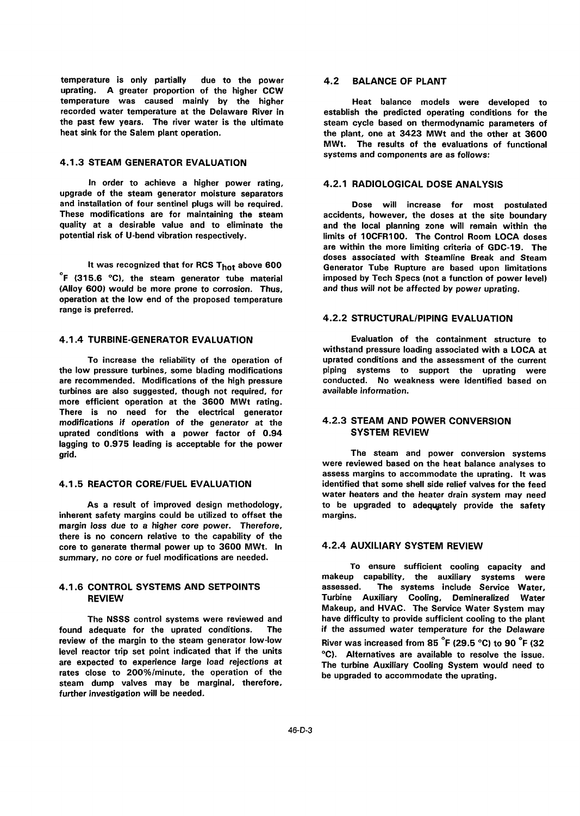temperature is only partially due to the power 4.2 BALANCE OF PLANT uprating. A greater proportion of the higher CCW temperature was caused mainly by the higher **Heat balance models were developed to**<br>recorded water temperature at the Delaware River in establish the predicted operating conditions for the the past few years. The river water is the ultimate steam cycle based on thermodynamic parameters of heat sink for the Salem plant operation. The statement of the plant, one at 3423 MWt and the other at 3600

### 4.1.3 STEAM GENERATOR EVALUATION

In order to achieve a higher power rating, 4.2.1 RADIOLOGICAL DOSE ANALYSIS upgrade of the steam generator moisture separators and installation of four sentinel plugs will be required. Dose will increase for most postulated These modifications are for maintaining the steam accidents, however, the doses at the site boundary quality at a desirable value and to eliminate the and the local planning zone will remain within the<br>potential risk of U-bend vibration respectively.<br>
limits of 10CFR100. The Control Room LOCA doses

 $\degree$ F (315.6  $\degree$ C), the steam generator tube material imposed by Tech Specs (not a function of power level)<br>(Alloy 600) would be more prone to corrosion. Thus, and thus will not be affected by power uprating. (Alloy 600) would be more prone to corrosion. Thus, operation at the low end of the proposed temperature range is preferred.<br>
4.2.2 STRUCTURAL/PIPING EVALUATION

are recommended. Modifications of the high pressure conducted. No wea<br>
turbines are also suggested, though not required, for available information. turbines are also suggested, though not required, for more efficient operation at the 3600 MWt rating. There is no need for the electrical generator modifications if operation of the generator at the 4.2.3 STEAM AND POWER CONVERSION<br>uprated conditions with a power factor of 0.94 SYSTEM REVIEW uprated conditions with a power factor of 0.94 lagging to 0.975 leading is acceptable for the power grid. The steam and power conversion systems

inherent safety margins could be utilized to offset the margins. margin loss due to a higher core power. Therefore, there is no concern relative to the capability of the core to generate thermal power up to 3600 MWt. In 4.2.4 AUXILIARY SYSTEM REVIEW

found adequate for the uprated conditions. The if the assumed water temperature for the Delaware<br>review of the margin to the steam generator low-low River was increased from RF  $^{\circ}$ F (20 F  $^{\circ}$ C) to 90  $^{\circ}$ F (22 review of the margin to the steam generator low-low River was increased from 85  $\degree$ F (29.5  $\degree$ C) to 90  $\degree$ F (32<br>level reactor trip set point indicated that if the units  $\degree$ C) Alternatives are available to resolve the level reactor trip set point indicated that if the units och. Alternatives are available to resolve the issue.<br>In the expected to experience large load rejections at The turbing Auvilians Cooling System would need to rates close to 200%/minute, the operation of the be upgraded to accommodate the uprating. steam dump valves may be marginal, therefore, further investigation will be needed.

establish the predicted operating conditions for the MWt. The results of the evaluations of functional systems and components are as follows:

limits of 10CFR100. The Control Room LOCA doses are within the more limiting criteria of GDC-19. The doses associated with Steamline Break and Steam It was recognized that for RCS T<sub>hot</sub> above 600 Generator Tube Rupture are based upon limitations

4.1.4 TURBINE-GENERATOR EVALUATION Evaluation of the containment structure to withstand pressure loading associated with a LOCA at To increase the reliability of the operation of uprated conditions and the assessment of the current<br>the low pressure turbines, some blading modifications bigging systems to support the uprating were piping systems to support the uprating were<br>conducted. No-weakness were-identified based on

were reviewed based on the heat balance analyses to assess margins to accommodate the uprating. It was 4.1.5 REACTOR CORE/FUEL EVALUATION identified that some shell side relief valves for the feed water heaters and the heater drain system may need As a result of improved design methodology, to be upgraded to adequately provide the safety

summary, no core or fuel modifications are needed. To ensure sufficient cooling capacity and makeup capability, the auxiliary systems were 4.1.6 CONTROL SYSTEMS AND SETPOINTS **assessed.** The systems include Service Water REVIEW Turbine Auxiliary Cooling, Dernineralized Water Makeup, and HVAC. The Service Water System may The NSSS control systems were reviewed and have difficulty to provide sufficient cooling to the plant<br>found adequate for the uprated conditions. The if the assumed water temperature for the Delaware The turbine Auxiliary Cooling System would need to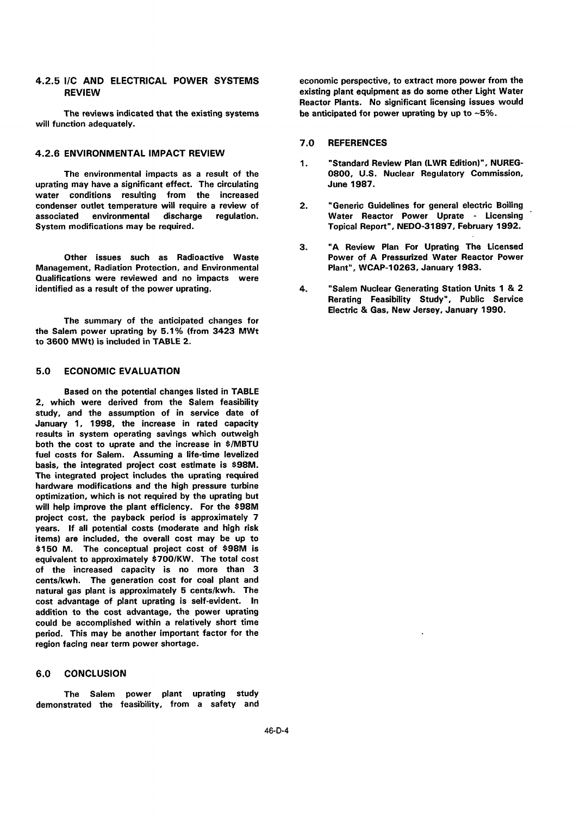will function adequately.

### 4.2.6 ENVIRONMENTAL IMPACT REVIEW

uprating may have a significant effect. The circulating **June 1987.** water conditions resulting from the increased condenser outlet temperature will require a review of 2. "Generic Guidelines for general electric Boiling associated environmental discharge regulation. Water Reactor Power Uprate - Licensing

Other issues such as Radioactive Waste **Power of A Pressurized Water Reactor Power of A Pressurized Water Reactor**<br>Plant", WCAP-10263, January 1983. Management, Radiation Protection, and Environmental Qualifications were reviewed and no impacts were identified as a result of the power uprating. The state of the state of the Nuclear Generating Station Units 1 & 2

The summary of the anticipated changes for the Salem power uprating by 5.1% (from 3423 MWt to 3600 MWt) is included in TABLE 2.

## 5.0 ECONOMIC EVALUATION

Based on the potential changes listed in TABLE 2, which were derived from the Salem feasibility study, and the assumption of in service date of January 1, 1998, the increase in rated capacity results in system operating savings which outweigh both the cost to uprate and the increase in \$/MBTU fuel costs for Salem. Assuming a life-time levelized basis, the integrated project cost estimate is \$98M. The integrated project includes the uprating required hardware modifications and the high pressure turbine optimization, which is not required by the uprating but will help improve the plant efficiency. For the \$98M project cost, the payback period is approximately 7 years. If all potential costs (moderate and high risk items) are included, the overall cost may be up to \$150 M. The conceptual project cost of \$98M is equivalent to approximately \$700/KW. The total cost of the increased capacity is no more than 3 cents/kwh. The generation cost for coal plant and natural gas plant is approximately 5 cents/kwh. The cost advantage of plant uprating is self-evident. In addition to the cost advantage, the power uprating could be accomplished within a relatively short time period. This may be another important factor for the region facing near term power shortage.

### 6.0 CONCLUSION

The Salem power plant uprating study demonstrated the feasiblity, from a safety and

4.2.5 I/C AND ELECTRICAL POWER SYSTEMS economic perspective, to extract more power from the REVIEW existing plant equipment as do some other Light Water Reactor Plants. No significant licensing issues would The reviews indicated that the existing systems be anticipated for power uprating by up to  $~5\%$ .

### 7.0 REFERENCES

- 1. "Standard Review Plan (LWR Edition)", NUREG-The environmental impacts as a result of the 0800, U.S. Nuclear Regulatory Commission,
	- Topical Report", NEDO-31897, February 1992.
	- 3. "A Review Plan For Uprating The Licensed
	- Rerating Feasibility Study", Public Service Electric Gas, New Jersey, January 1990.